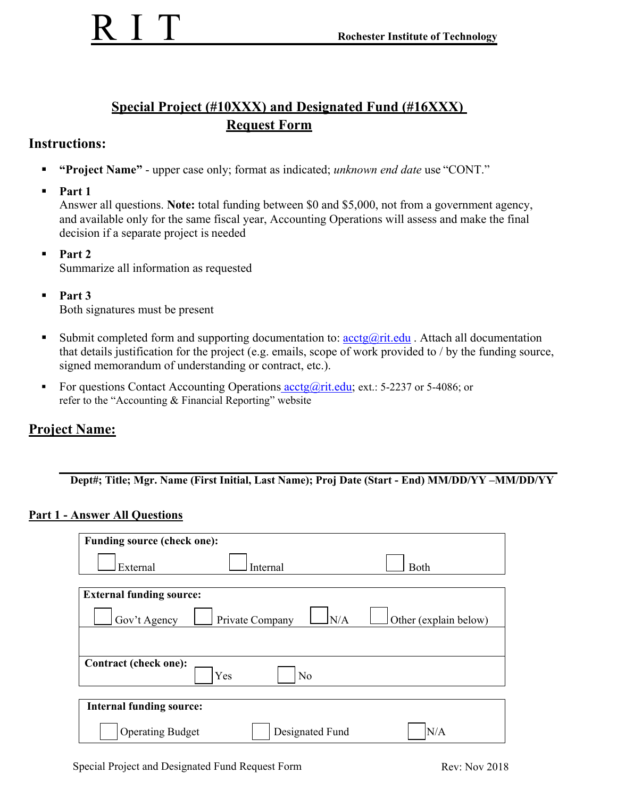## **Special Project (#10XXX) and Designated Fund (#16XXX) Request Form**

## **Instructions:**

- **"Project Name"**  upper case only; format as indicated; *unknown end date* use "CONT."
- **Part 1**

Answer all questions. **Note:** total funding between \$0 and \$5,000, not from a government agency, and available only for the same fiscal year, Accounting Operations will assess and make the final decision if a separate project is needed

- **Part 2**  Summarize all information as requested
- $\blacksquare$  Part 3 Both signatures must be present
- Submit completed form and supporting documentation to:  $\arctan(\theta x)$  Attach all documentation that details justification for the project (e.g. emails, scope of work provided to / by the funding source, signed memorandum of understanding or contract, etc.).
- For questions Contact Accounting Operations  $\arctan(\theta)$  ext.: 5-2237 or 5-4086; or refer to the "Accounting & Financial Reporting" website

### **Project Name:**

 **Dept#; Title; Mgr. Name (First Initial, Last Name); Proj Date (Start - End) MM/DD/YY –MM/DD/YY**

#### **Part 1 - Answer All Questions**

| <b>Funding source (check one):</b>             |                         |                       |  |
|------------------------------------------------|-------------------------|-----------------------|--|
| External                                       | Internal                | Both                  |  |
| <b>External funding source:</b>                |                         |                       |  |
| Gov't Agency                                   | ln/a<br>Private Company | Other (explain below) |  |
|                                                |                         |                       |  |
| Contract (check one):<br>Yes<br>N <sub>o</sub> |                         |                       |  |
| <b>Internal funding source:</b>                |                         |                       |  |
| <b>Operating Budget</b>                        | Designated Fund         | N/A                   |  |